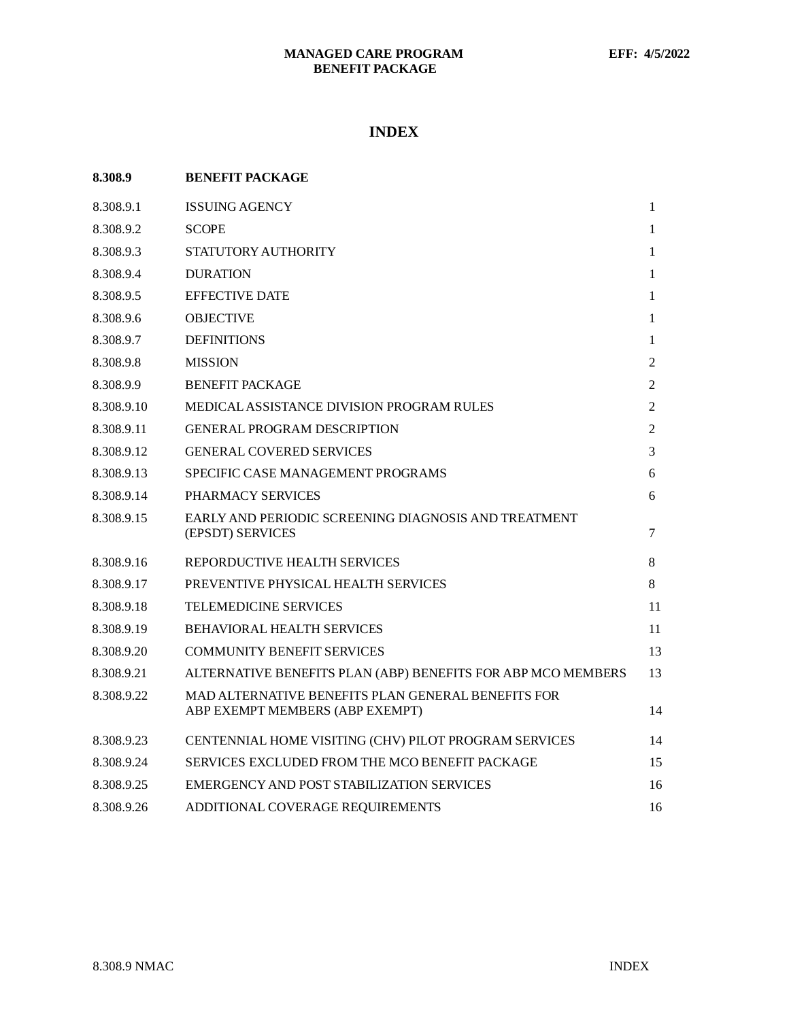# **INDEX**

| 8.308.9    | <b>BENEFIT PACKAGE</b>                                                                |                |
|------------|---------------------------------------------------------------------------------------|----------------|
| 8.308.9.1  | <b>ISSUING AGENCY</b>                                                                 | $\mathbf{1}$   |
| 8.308.9.2  | <b>SCOPE</b>                                                                          | 1              |
| 8.308.9.3  | STATUTORY AUTHORITY                                                                   | 1              |
| 8.308.9.4  | <b>DURATION</b>                                                                       | 1              |
| 8.308.9.5  | <b>EFFECTIVE DATE</b>                                                                 | 1              |
| 8.308.9.6  | <b>OBJECTIVE</b>                                                                      | 1              |
| 8.308.9.7  | <b>DEFINITIONS</b>                                                                    | 1              |
| 8.308.9.8  | <b>MISSION</b>                                                                        | 2              |
| 8.308.9.9  | <b>BENEFIT PACKAGE</b>                                                                | 2              |
| 8.308.9.10 | <b>MEDICAL ASSISTANCE DIVISION PROGRAM RULES</b>                                      | 2              |
| 8.308.9.11 | <b>GENERAL PROGRAM DESCRIPTION</b>                                                    | $\overline{2}$ |
| 8.308.9.12 | <b>GENERAL COVERED SERVICES</b>                                                       | 3              |
| 8.308.9.13 | <b>SPECIFIC CASE MANAGEMENT PROGRAMS</b>                                              | 6              |
| 8.308.9.14 | PHARMACY SERVICES                                                                     | 6              |
| 8.308.9.15 | EARLY AND PERIODIC SCREENING DIAGNOSIS AND TREATMENT<br>(EPSDT) SERVICES              | 7              |
| 8.308.9.16 | REPORDUCTIVE HEALTH SERVICES                                                          | 8              |
| 8.308.9.17 | PREVENTIVE PHYSICAL HEALTH SERVICES                                                   | 8              |
| 8.308.9.18 | <b>TELEMEDICINE SERVICES</b>                                                          | 11             |
| 8.308.9.19 | <b>BEHAVIORAL HEALTH SERVICES</b>                                                     | 11             |
| 8.308.9.20 | <b>COMMUNITY BENEFIT SERVICES</b>                                                     | 13             |
| 8.308.9.21 | ALTERNATIVE BENEFITS PLAN (ABP) BENEFITS FOR ABP MCO MEMBERS                          | 13             |
| 8.308.9.22 | MAD ALTERNATIVE BENEFITS PLAN GENERAL BENEFITS FOR<br>ABP EXEMPT MEMBERS (ABP EXEMPT) | 14             |
| 8.308.9.23 | CENTENNIAL HOME VISITING (CHV) PILOT PROGRAM SERVICES                                 | 14             |
| 8.308.9.24 | SERVICES EXCLUDED FROM THE MCO BENEFIT PACKAGE                                        | 15             |
| 8.308.9.25 | EMERGENCY AND POST STABILIZATION SERVICES                                             | 16             |
| 8.308.9.26 | ADDITIONAL COVERAGE REQUIREMENTS                                                      | 16             |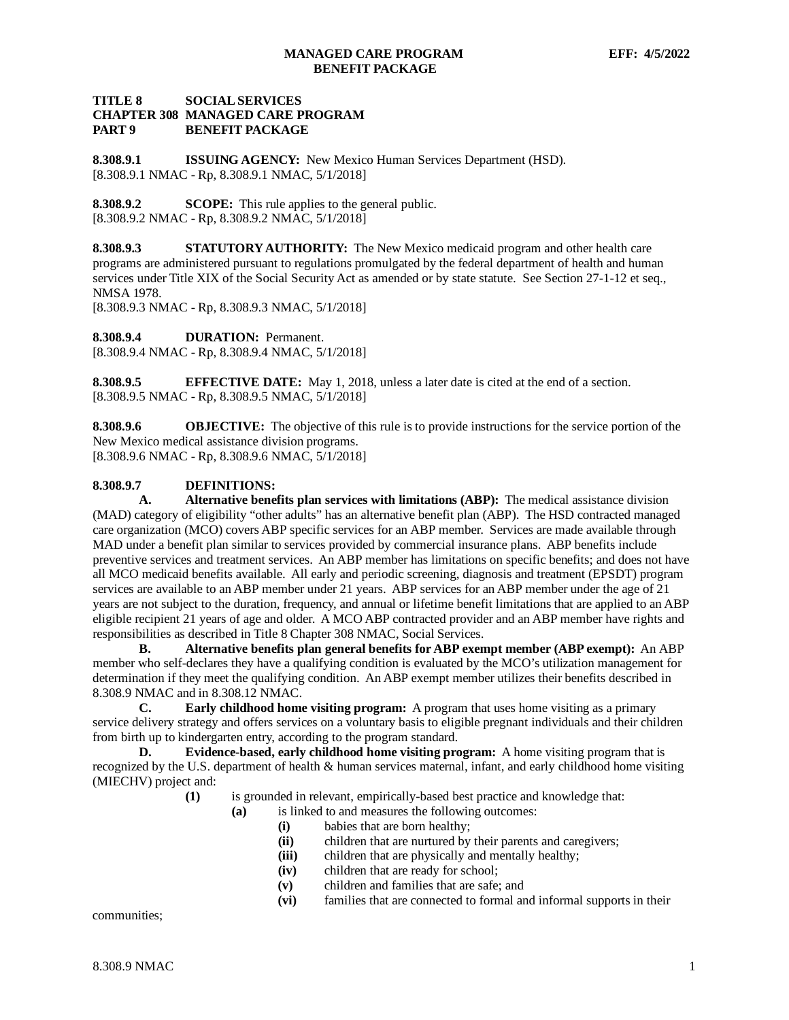## **TITLE 8 SOCIAL SERVICES CHAPTER 308 MANAGED CARE PROGRAM BENEFIT PACKAGE**

<span id="page-1-0"></span>**8.308.9.1 ISSUING AGENCY:** New Mexico Human Services Department (HSD). [8.308.9.1 NMAC - Rp, 8.308.9.1 NMAC, 5/1/2018]

<span id="page-1-1"></span>**8.308.9.2 SCOPE:** This rule applies to the general public. [8.308.9.2 NMAC - Rp, 8.308.9.2 NMAC, 5/1/2018]

<span id="page-1-2"></span>**8.308.9.3 STATUTORY AUTHORITY:** The New Mexico medicaid program and other health care programs are administered pursuant to regulations promulgated by the federal department of health and human services under Title XIX of the Social Security Act as amended or by state statute. See Section 27-1-12 et seq., NMSA 1978.

[8.308.9.3 NMAC - Rp, 8.308.9.3 NMAC, 5/1/2018]

<span id="page-1-3"></span>**8.308.9.4 DURATION:** Permanent. [8.308.9.4 NMAC - Rp, 8.308.9.4 NMAC, 5/1/2018]

<span id="page-1-4"></span>**8.308.9.5 EFFECTIVE DATE:** May 1, 2018, unless a later date is cited at the end of a section. [8.308.9.5 NMAC - Rp, 8.308.9.5 NMAC, 5/1/2018]

<span id="page-1-5"></span>**8.308.9.6 OBJECTIVE:** The objective of this rule is to provide instructions for the service portion of the New Mexico medical assistance division programs. [8.308.9.6 NMAC - Rp, 8.308.9.6 NMAC, 5/1/2018]

## <span id="page-1-6"></span>**8.308.9.7 DEFINITIONS:**

**A. Alternative benefits plan services with limitations (ABP):** The medical assistance division (MAD) category of eligibility "other adults" has an alternative benefit plan (ABP). The HSD contracted managed care organization (MCO) covers ABP specific services for an ABP member. Services are made available through MAD under a benefit plan similar to services provided by commercial insurance plans. ABP benefits include preventive services and treatment services. An ABP member has limitations on specific benefits; and does not have all MCO medicaid benefits available. All early and periodic screening, diagnosis and treatment (EPSDT) program services are available to an ABP member under 21 years. ABP services for an ABP member under the age of 21 years are not subject to the duration, frequency, and annual or lifetime benefit limitations that are applied to an ABP eligible recipient 21 years of age and older. A MCO ABP contracted provider and an ABP member have rights and responsibilities as described in Title 8 Chapter 308 NMAC, Social Services.

**B. Alternative benefits plan general benefits for ABP exempt member (ABP exempt):** An ABP member who self-declares they have a qualifying condition is evaluated by the MCO's utilization management for determination if they meet the qualifying condition. An ABP exempt member utilizes their benefits described in 8.308.9 NMAC and in 8.308.12 NMAC.

**C. Early childhood home visiting program:** A program that uses home visiting as a primary service delivery strategy and offers services on a voluntary basis to eligible pregnant individuals and their children from birth up to kindergarten entry, according to the program standard.

**D. Evidence-based, early childhood home visiting program:** A home visiting program that is recognized by the U.S. department of health & human services maternal, infant, and early childhood home visiting (MIECHV) project and:

- **(1)** is grounded in relevant, empirically-based best practice and knowledge that:
	- **(a)** is linked to and measures the following outcomes:
		- **(i)** babies that are born healthy;
		- **(ii)** children that are nurtured by their parents and caregivers;
		- **(iii)** children that are physically and mentally healthy;
		- **(iv)** children that are ready for school;
		- **(v)** children and families that are safe; and
		- **(vi)** families that are connected to formal and informal supports in their

communities;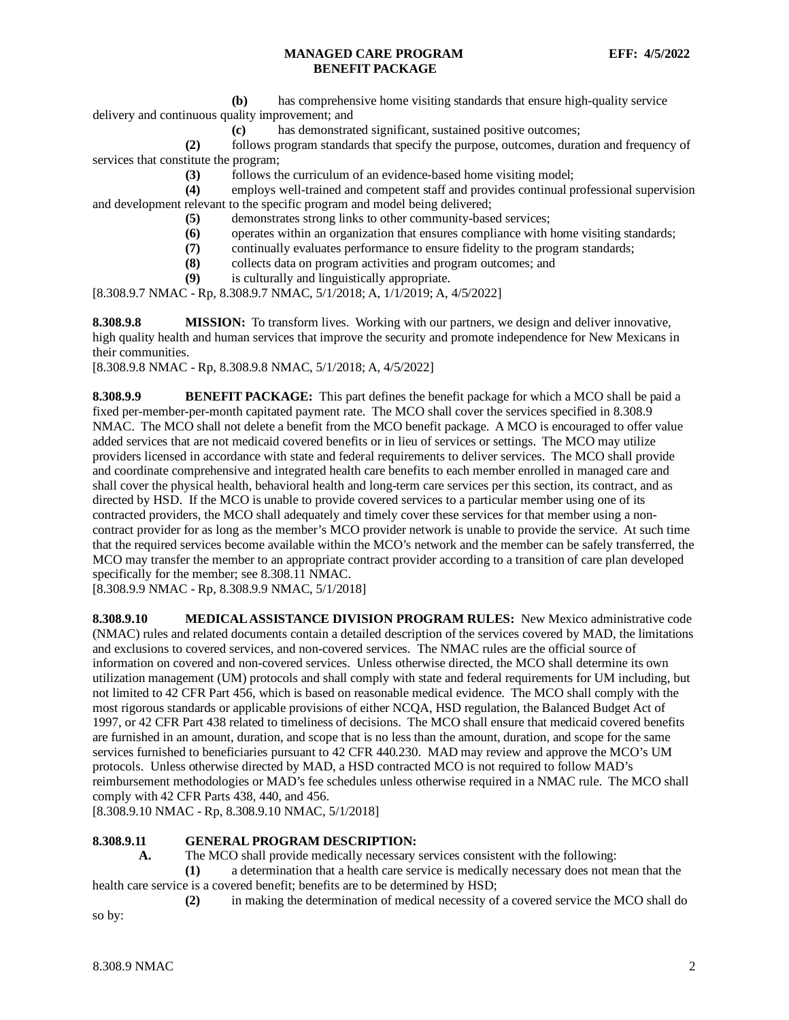**(b)** has comprehensive home visiting standards that ensure high-quality service

delivery and continuous quality improvement; and

**(c)** has demonstrated significant, sustained positive outcomes;

**(2)** follows program standards that specify the purpose, outcomes, duration and frequency of services that constitute the program;

**(3)** follows the curriculum of an evidence-based home visiting model;

**(4)** employs well-trained and competent staff and provides continual professional supervision and development relevant to the specific program and model being delivered;

- **(5)** demonstrates strong links to other community-based services;
- **(6)** operates within an organization that ensures compliance with home visiting standards;
- **(7)** continually evaluates performance to ensure fidelity to the program standards;
- **(8)** collects data on program activities and program outcomes; and
- **(9)** is culturally and linguistically appropriate.

[8.308.9.7 NMAC - Rp, 8.308.9.7 NMAC, 5/1/2018; A, 1/1/2019; A, 4/5/2022]

<span id="page-2-0"></span>**8.308.9.8 MISSION:** To transform lives. Working with our partners, we design and deliver innovative, high quality health and human services that improve the security and promote independence for New Mexicans in their communities.

[8.308.9.8 NMAC - Rp, 8.308.9.8 NMAC, 5/1/2018; A, 4/5/2022]

<span id="page-2-1"></span>**8.308.9.9 BENEFIT PACKAGE:** This part defines the benefit package for which a MCO shall be paid a fixed per-member-per-month capitated payment rate. The MCO shall cover the services specified in 8.308.9 NMAC. The MCO shall not delete a benefit from the MCO benefit package. A MCO is encouraged to offer value added services that are not medicaid covered benefits or in lieu of services or settings. The MCO may utilize providers licensed in accordance with state and federal requirements to deliver services. The MCO shall provide and coordinate comprehensive and integrated health care benefits to each member enrolled in managed care and shall cover the physical health, behavioral health and long-term care services per this section, its contract, and as directed by HSD. If the MCO is unable to provide covered services to a particular member using one of its contracted providers, the MCO shall adequately and timely cover these services for that member using a noncontract provider for as long as the member's MCO provider network is unable to provide the service. At such time that the required services become available within the MCO's network and the member can be safely transferred, the MCO may transfer the member to an appropriate contract provider according to a transition of care plan developed specifically for the member; see 8.308.11 NMAC.

[8.308.9.9 NMAC - Rp, 8.308.9.9 NMAC, 5/1/2018]

<span id="page-2-2"></span>**8.308.9.10 MEDICAL ASSISTANCE DIVISION PROGRAM RULES:** New Mexico administrative code (NMAC) rules and related documents contain a detailed description of the services covered by MAD, the limitations and exclusions to covered services, and non-covered services. The NMAC rules are the official source of information on covered and non-covered services. Unless otherwise directed, the MCO shall determine its own utilization management (UM) protocols and shall comply with state and federal requirements for UM including, but not limited to 42 CFR Part 456, which is based on reasonable medical evidence. The MCO shall comply with the most rigorous standards or applicable provisions of either NCQA, HSD regulation, the Balanced Budget Act of 1997, or 42 CFR Part 438 related to timeliness of decisions. The MCO shall ensure that medicaid covered benefits are furnished in an amount, duration, and scope that is no less than the amount, duration, and scope for the same services furnished to beneficiaries pursuant to 42 CFR 440.230. MAD may review and approve the MCO's UM protocols. Unless otherwise directed by MAD, a HSD contracted MCO is not required to follow MAD's reimbursement methodologies or MAD's fee schedules unless otherwise required in a NMAC rule. The MCO shall comply with 42 CFR Parts 438, 440, and 456.

[8.308.9.10 NMAC - Rp, 8.308.9.10 NMAC, 5/1/2018]

### <span id="page-2-3"></span>**8.308.9.11 GENERAL PROGRAM DESCRIPTION:**

**A.** The MCO shall provide medically necessary services consistent with the following:

**(1)** a determination that a health care service is medically necessary does not mean that the health care service is a covered benefit; benefits are to be determined by HSD;

**(2)** in making the determination of medical necessity of a covered service the MCO shall do

so by: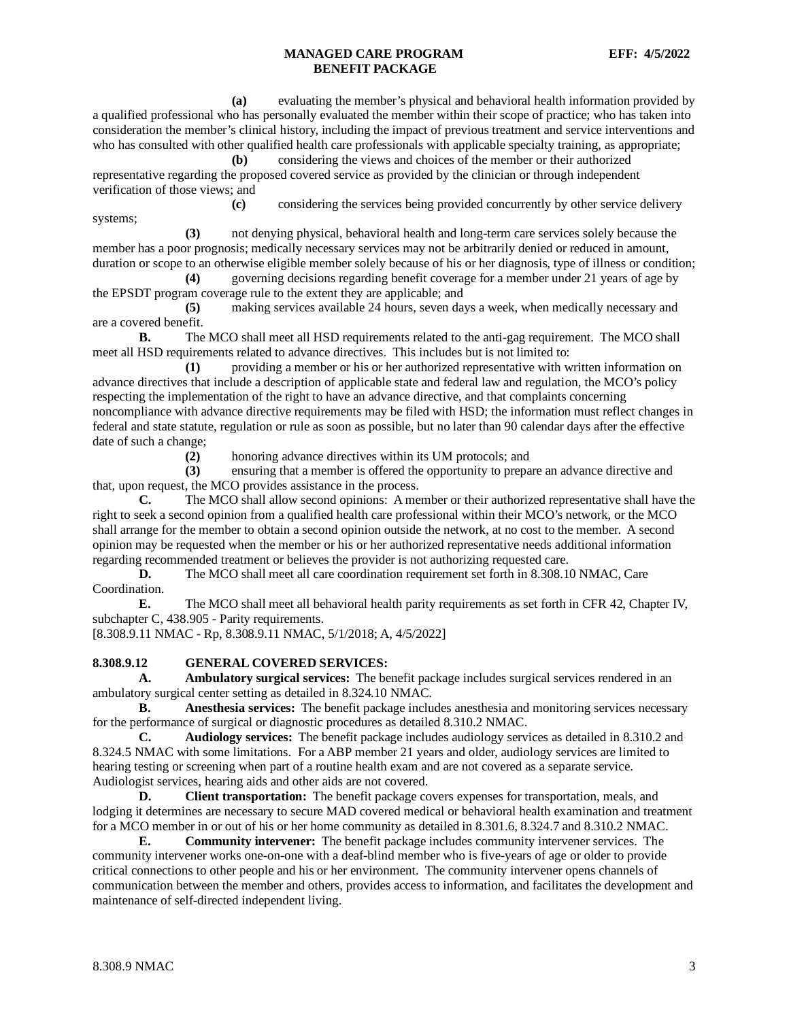**(a)** evaluating the member's physical and behavioral health information provided by a qualified professional who has personally evaluated the member within their scope of practice; who has taken into consideration the member's clinical history, including the impact of previous treatment and service interventions and who has consulted with other qualified health care professionals with applicable specialty training, as appropriate;

**(b)** considering the views and choices of the member or their authorized representative regarding the proposed covered service as provided by the clinician or through independent verification of those views; and

**(c)** considering the services being provided concurrently by other service delivery systems;

**(3)** not denying physical, behavioral health and long-term care services solely because the member has a poor prognosis; medically necessary services may not be arbitrarily denied or reduced in amount, duration or scope to an otherwise eligible member solely because of his or her diagnosis, type of illness or condition;

**(4)** governing decisions regarding benefit coverage for a member under 21 years of age by the EPSDT program coverage rule to the extent they are applicable; and

**(5)** making services available 24 hours, seven days a week, when medically necessary and are a covered benefit.

**B.** The MCO shall meet all HSD requirements related to the anti-gag requirement. The MCO shall meet all HSD requirements related to advance directives. This includes but is not limited to:

**(1)** providing a member or his or her authorized representative with written information on advance directives that include a description of applicable state and federal law and regulation, the MCO's policy respecting the implementation of the right to have an advance directive, and that complaints concerning noncompliance with advance directive requirements may be filed with HSD; the information must reflect changes in federal and state statute, regulation or rule as soon as possible, but no later than 90 calendar days after the effective date of such a change;

**(2)** honoring advance directives within its UM protocols; and

**(3)** ensuring that a member is offered the opportunity to prepare an advance directive and that, upon request, the MCO provides assistance in the process.

**C.** The MCO shall allow second opinions: A member or their authorized representative shall have the right to seek a second opinion from a qualified health care professional within their MCO's network, or the MCO shall arrange for the member to obtain a second opinion outside the network, at no cost to the member. A second opinion may be requested when the member or his or her authorized representative needs additional information regarding recommended treatment or believes the provider is not authorizing requested care.

**D.** The MCO shall meet all care coordination requirement set forth in 8.308.10 NMAC, Care Coordination.

**E.** The MCO shall meet all behavioral health parity requirements as set forth in CFR 42, Chapter IV, subchapter C, 438.905 - Parity requirements.

[8.308.9.11 NMAC - Rp, 8.308.9.11 NMAC, 5/1/2018; A, 4/5/2022]

### <span id="page-3-0"></span>**8.308.9.12 GENERAL COVERED SERVICES:**

**A. Ambulatory surgical services:** The benefit package includes surgical services rendered in an ambulatory surgical center setting as detailed in 8.324.10 NMAC.

**B. Anesthesia services:** The benefit package includes anesthesia and monitoring services necessary for the performance of surgical or diagnostic procedures as detailed 8.310.2 NMAC.

**C. Audiology services:** The benefit package includes audiology services as detailed in 8.310.2 and 8.324.5 NMAC with some limitations. For a ABP member 21 years and older, audiology services are limited to hearing testing or screening when part of a routine health exam and are not covered as a separate service. Audiologist services, hearing aids and other aids are not covered.

**D. Client transportation:** The benefit package covers expenses for transportation, meals, and lodging it determines are necessary to secure MAD covered medical or behavioral health examination and treatment for a MCO member in or out of his or her home community as detailed in 8.301.6, 8.324.7 and 8.310.2 NMAC.

**E. Community intervener:** The benefit package includes community intervener services. The community intervener works one-on-one with a deaf-blind member who is five-years of age or older to provide critical connections to other people and his or her environment. The community intervener opens channels of communication between the member and others, provides access to information, and facilitates the development and maintenance of self-directed independent living.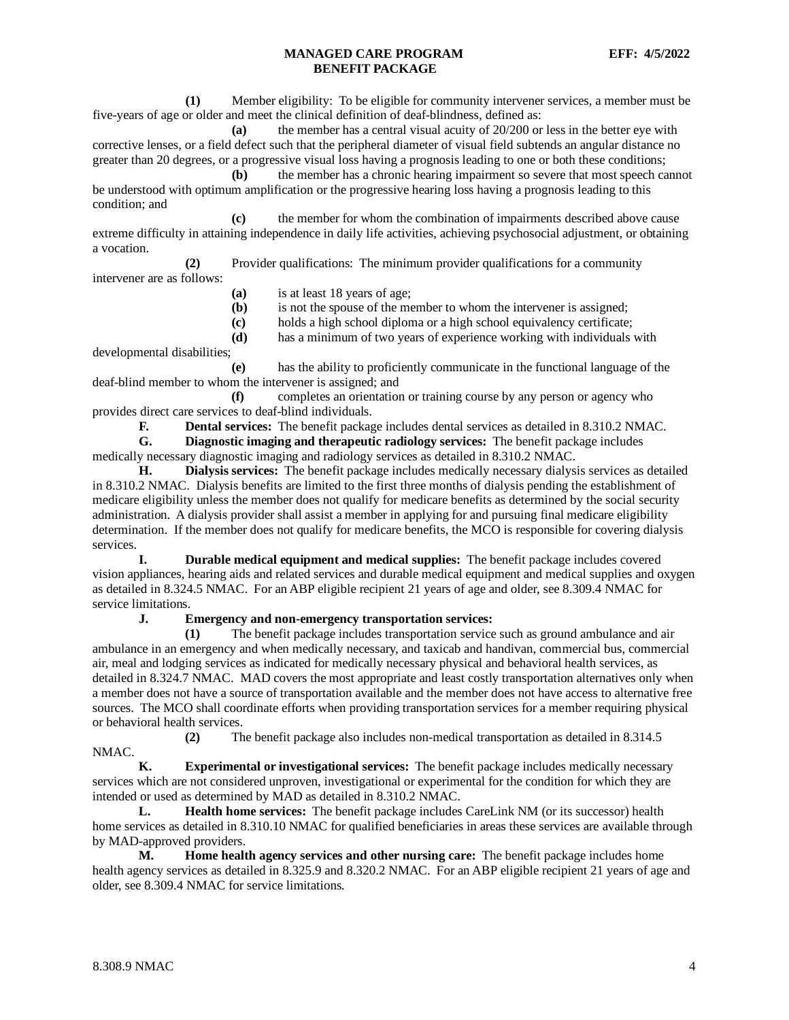**(1)** Member eligibility: To be eligible for community intervener services, a member must be five-years of age or older and meet the clinical definition of deaf-blindness, defined as:

**(a)** the member has a central visual acuity of 20/200 or less in the better eye with corrective lenses, or a field defect such that the peripheral diameter of visual field subtends an angular distance no greater than 20 degrees, or a progressive visual loss having a prognosis leading to one or both these conditions;

**(b)** the member has a chronic hearing impairment so severe that most speech cannot be understood with optimum amplification or the progressive hearing loss having a prognosis leading to this condition; and

**(c)** the member for whom the combination of impairments described above cause extreme difficulty in attaining independence in daily life activities, achieving psychosocial adjustment, or obtaining a vocation.

**(2)** Provider qualifications: The minimum provider qualifications for a community intervener are as follows:

- **(a)** is at least 18 years of age;
- **(b)** is not the spouse of the member to whom the intervener is assigned;
- **(c)** holds a high school diploma or a high school equivalency certificate;
- **(d)** has a minimum of two years of experience working with individuals with

developmental disabilities;

**(e)** has the ability to proficiently communicate in the functional language of the deaf-blind member to whom the intervener is assigned; and

**(f)** completes an orientation or training course by any person or agency who provides direct care services to deaf-blind individuals.

**F. Dental services:** The benefit package includes dental services as detailed in 8.310.2 NMAC.<br>**G. Diagnostic imaging and therapeutic radiology services:** The benefit package includes

**G. Diagnostic imaging and therapeutic radiology services:** The benefit package includes medically necessary diagnostic imaging and radiology services as detailed in 8.310.2 NMAC.

**H. Dialysis services:** The benefit package includes medically necessary dialysis services as detailed in 8.310.2 NMAC. Dialysis benefits are limited to the first three months of dialysis pending the establishment of medicare eligibility unless the member does not qualify for medicare benefits as determined by the social security administration. A dialysis provider shall assist a member in applying for and pursuing final medicare eligibility determination. If the member does not qualify for medicare benefits, the MCO is responsible for covering dialysis services.

**I. Durable medical equipment and medical supplies:** The benefit package includes covered vision appliances, hearing aids and related services and durable medical equipment and medical supplies and oxygen as detailed in 8.324.5 NMAC. For an ABP eligible recipient 21 years of age and older, see 8.309.4 NMAC for service limitations.

## **J. Emergency and non-emergency transportation services:**

**(1)** The benefit package includes transportation service such as ground ambulance and air ambulance in an emergency and when medically necessary, and taxicab and handivan, commercial bus, commercial air, meal and lodging services as indicated for medically necessary physical and behavioral health services, as detailed in 8.324.7 NMAC. MAD covers the most appropriate and least costly transportation alternatives only when a member does not have a source of transportation available and the member does not have access to alternative free sources. The MCO shall coordinate efforts when providing transportation services for a member requiring physical or behavioral health services.

**(2)** The benefit package also includes non-medical transportation as detailed in 8.314.5

**K. Experimental or investigational services:** The benefit package includes medically necessary services which are not considered unproven, investigational or experimental for the condition for which they are intended or used as determined by MAD as detailed in 8.310.2 NMAC.

**L. Health home services:** The benefit package includes CareLink NM (or its successor) health home services as detailed in 8.310.10 NMAC for qualified beneficiaries in areas these services are available through by MAD-approved providers.

**M. Home health agency services and other nursing care:** The benefit package includes home health agency services as detailed in 8.325.9 and 8.320.2 NMAC. For an ABP eligible recipient 21 years of age and older, see 8.309.4 NMAC for service limitations.

NMAC.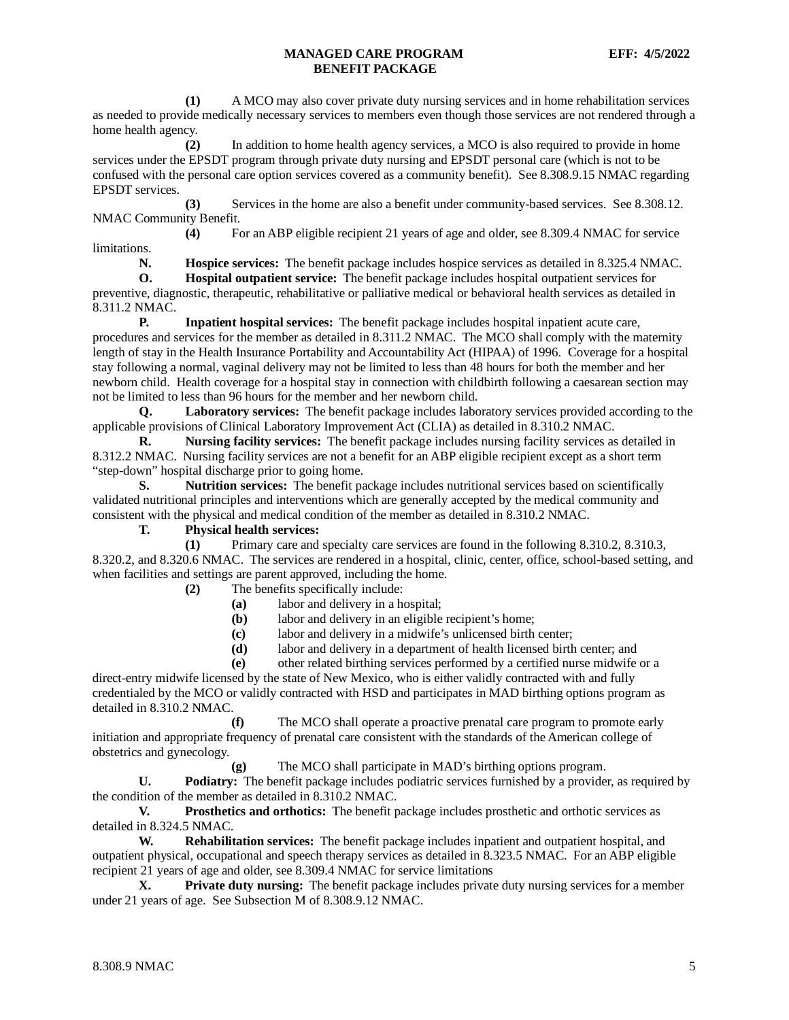**(1)** A MCO may also cover private duty nursing services and in home rehabilitation services as needed to provide medically necessary services to members even though those services are not rendered through a home health agency.

**(2)** In addition to home health agency services, a MCO is also required to provide in home services under the EPSDT program through private duty nursing and EPSDT personal care (which is not to be confused with the personal care option services covered as a community benefit). See 8.308.9.15 NMAC regarding EPSDT services.

**(3)** Services in the home are also a benefit under community-based services. See 8.308.12. NMAC Community Benefit.

**(4)** For an ABP eligible recipient 21 years of age and older, see 8.309.4 NMAC for service limitations.<br>N.

**N. Hospice services:** The benefit package includes hospice services as detailed in 8.325.4 NMAC.

**O. Hospital outpatient service:** The benefit package includes hospital outpatient services for preventive, diagnostic, therapeutic, rehabilitative or palliative medical or behavioral health services as detailed in 8.311.2 NMAC.

**P. Inpatient hospital services:** The benefit package includes hospital inpatient acute care, procedures and services for the member as detailed in 8.311.2 NMAC. The MCO shall comply with the maternity length of stay in the Health Insurance Portability and Accountability Act (HIPAA) of 1996. Coverage for a hospital stay following a normal, vaginal delivery may not be limited to less than 48 hours for both the member and her newborn child. Health coverage for a hospital stay in connection with childbirth following a caesarean section may not be limited to less than 96 hours for the member and her newborn child.

**Q. Laboratory services:** The benefit package includes laboratory services provided according to the applicable provisions of Clinical Laboratory Improvement Act (CLIA) as detailed in 8.310.2 NMAC.

**R. Nursing facility services:** The benefit package includes nursing facility services as detailed in 8.312.2 NMAC. Nursing facility services are not a benefit for an ABP eligible recipient except as a short term "step-down" hospital discharge prior to going home.

**S. Nutrition services:** The benefit package includes nutritional services based on scientifically validated nutritional principles and interventions which are generally accepted by the medical community and consistent with the physical and medical condition of the member as detailed in 8.310.2 NMAC.

**T. Physical health services:**

**(1)** Primary care and specialty care services are found in the following 8.310.2, 8.310.3, 8.320.2, and 8.320.6 NMAC. The services are rendered in a hospital, clinic, center, office, school-based setting, and when facilities and settings are parent approved, including the home.

**(2)** The benefits specifically include:

- **(a)** labor and delivery in a hospital;
- **(b)** labor and delivery in an eligible recipient's home;
- **(c)** labor and delivery in a midwife's unlicensed birth center;
- **(d)** labor and delivery in a department of health licensed birth center; and

**(e)** other related birthing services performed by a certified nurse midwife or a

direct-entry midwife licensed by the state of New Mexico, who is either validly contracted with and fully credentialed by the MCO or validly contracted with HSD and participates in MAD birthing options program as detailed in 8.310.2 NMAC.

**(f)** The MCO shall operate a proactive prenatal care program to promote early initiation and appropriate frequency of prenatal care consistent with the standards of the American college of obstetrics and gynecology.

**(g)** The MCO shall participate in MAD's birthing options program.

**U. Podiatry:** The benefit package includes podiatric services furnished by a provider, as required by the condition of the member as detailed in 8.310.2 NMAC.

**V. Prosthetics and orthotics:** The benefit package includes prosthetic and orthotic services as detailed in 8.324.5 NMAC.

**W. Rehabilitation services:** The benefit package includes inpatient and outpatient hospital, and outpatient physical, occupational and speech therapy services as detailed in 8.323.5 NMAC. For an ABP eligible recipient 21 years of age and older, see 8.309.4 NMAC for service limitations

**X. Private duty nursing:** The benefit package includes private duty nursing services for a member under 21 years of age. See Subsection M of 8.308.9.12 NMAC.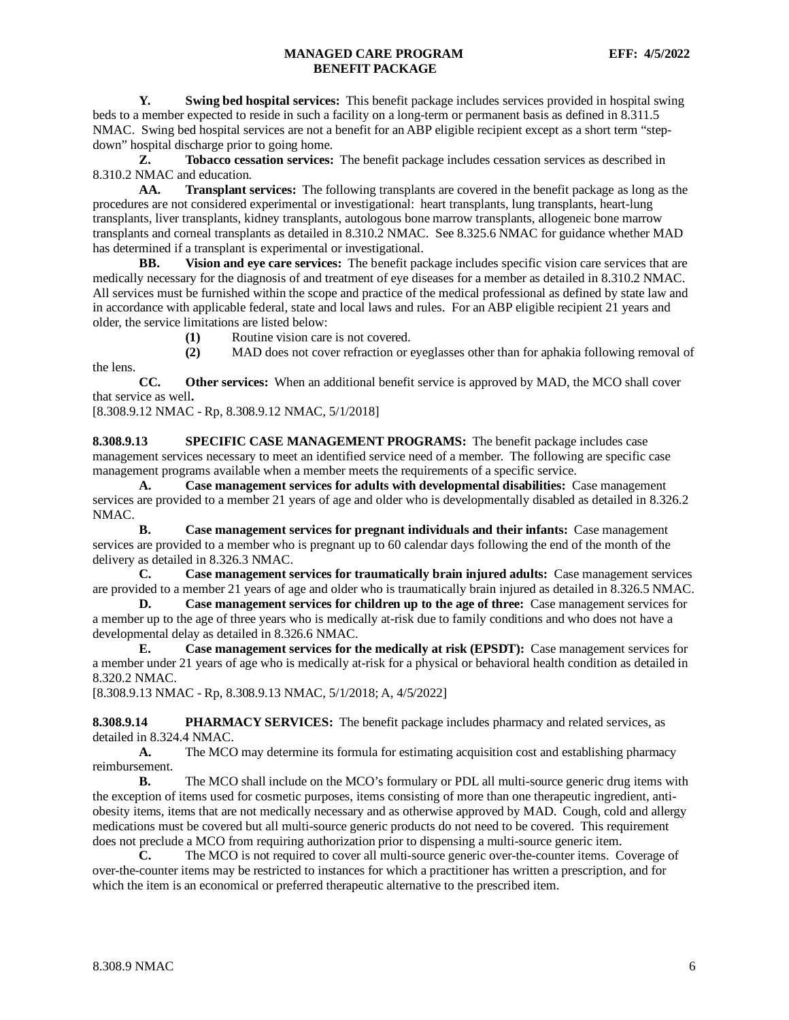**Y. Swing bed hospital services:** This benefit package includes services provided in hospital swing beds to a member expected to reside in such a facility on a long-term or permanent basis as defined in 8.311.5 NMAC. Swing bed hospital services are not a benefit for an ABP eligible recipient except as a short term "stepdown" hospital discharge prior to going home.

**Z. Tobacco cessation services:** The benefit package includes cessation services as described in 8.310.2 NMAC and education.

**AA. Transplant services:** The following transplants are covered in the benefit package as long as the procedures are not considered experimental or investigational: heart transplants, lung transplants, heart-lung transplants, liver transplants, kidney transplants, autologous bone marrow transplants, allogeneic bone marrow transplants and corneal transplants as detailed in 8.310.2 NMAC. See 8.325.6 NMAC for guidance whether MAD has determined if a transplant is experimental or investigational.

**BB. Vision and eye care services:** The benefit package includes specific vision care services that are medically necessary for the diagnosis of and treatment of eye diseases for a member as detailed in 8.310.2 NMAC. All services must be furnished within the scope and practice of the medical professional as defined by state law and in accordance with applicable federal, state and local laws and rules. For an ABP eligible recipient 21 years and older, the service limitations are listed below:

**(1)** Routine vision care is not covered.

**(2)** MAD does not cover refraction or eyeglasses other than for aphakia following removal of

**CC. Other services:** When an additional benefit service is approved by MAD, the MCO shall cover that service as well**.**

[8.308.9.12 NMAC - Rp, 8.308.9.12 NMAC, 5/1/2018]

the lens.

<span id="page-6-0"></span>**8.308.9.13 SPECIFIC CASE MANAGEMENT PROGRAMS:** The benefit package includes case management services necessary to meet an identified service need of a member. The following are specific case management programs available when a member meets the requirements of a specific service.

**A. Case management services for adults with developmental disabilities:** Case management services are provided to a member 21 years of age and older who is developmentally disabled as detailed in 8.326.2 NMAC.

**B. Case management services for pregnant individuals and their infants:** Case management services are provided to a member who is pregnant up to 60 calendar days following the end of the month of the delivery as detailed in 8.326.3 NMAC.

**C. Case management services for traumatically brain injured adults:** Case management services are provided to a member 21 years of age and older who is traumatically brain injured as detailed in 8.326.5 NMAC.

**D. Case management services for children up to the age of three:** Case management services for a member up to the age of three years who is medically at-risk due to family conditions and who does not have a developmental delay as detailed in 8.326.6 NMAC.

**E. Case management services for the medically at risk (EPSDT):** Case management services for a member under 21 years of age who is medically at-risk for a physical or behavioral health condition as detailed in 8.320.2 NMAC.

[8.308.9.13 NMAC - Rp, 8.308.9.13 NMAC, 5/1/2018; A, 4/5/2022]

<span id="page-6-1"></span>**8.308.9.14 PHARMACY SERVICES:** The benefit package includes pharmacy and related services, as detailed in 8.324.4 NMAC.

A. The MCO may determine its formula for estimating acquisition cost and establishing pharmacy reimbursement.

**B.** The MCO shall include on the MCO's formulary or PDL all multi-source generic drug items with the exception of items used for cosmetic purposes, items consisting of more than one therapeutic ingredient, antiobesity items, items that are not medically necessary and as otherwise approved by MAD. Cough, cold and allergy medications must be covered but all multi-source generic products do not need to be covered. This requirement does not preclude a MCO from requiring authorization prior to dispensing a multi-source generic item.

**C.** The MCO is not required to cover all multi-source generic over-the-counter items. Coverage of over-the-counter items may be restricted to instances for which a practitioner has written a prescription, and for which the item is an economical or preferred therapeutic alternative to the prescribed item.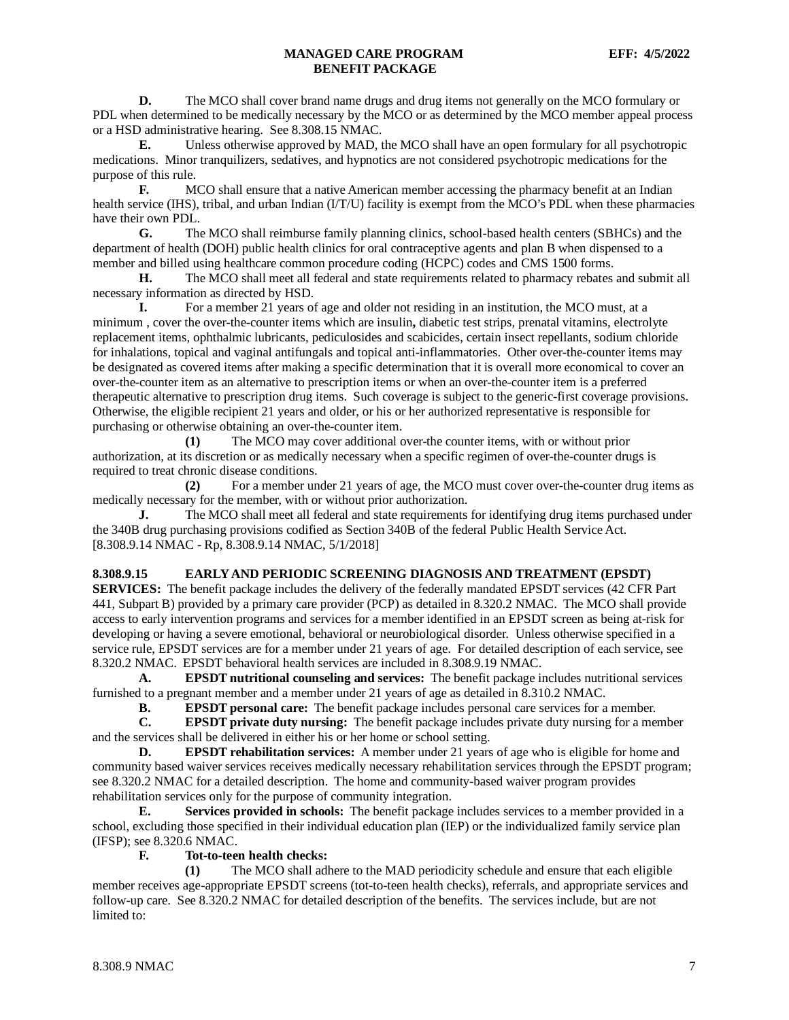**D.** The MCO shall cover brand name drugs and drug items not generally on the MCO formulary or PDL when determined to be medically necessary by the MCO or as determined by the MCO member appeal process or a HSD administrative hearing. See 8.308.15 NMAC.

**E.** Unless otherwise approved by MAD, the MCO shall have an open formulary for all psychotropic medications. Minor tranquilizers, sedatives, and hypnotics are not considered psychotropic medications for the purpose of this rule.

**F.** MCO shall ensure that a native American member accessing the pharmacy benefit at an Indian health service (IHS), tribal, and urban Indian (I/T/U) facility is exempt from the MCO's PDL when these pharmacies have their own PDL.

**G.** The MCO shall reimburse family planning clinics, school-based health centers (SBHCs) and the department of health (DOH) public health clinics for oral contraceptive agents and plan B when dispensed to a member and billed using healthcare common procedure coding (HCPC) codes and CMS 1500 forms.

**H.** The MCO shall meet all federal and state requirements related to pharmacy rebates and submit all necessary information as directed by HSD.

**I.** For a member 21 years of age and older not residing in an institution, the MCO must, at a minimum , cover the over-the-counter items which are insulin**,** diabetic test strips, prenatal vitamins, electrolyte replacement items, ophthalmic lubricants, pediculosides and scabicides, certain insect repellants, sodium chloride for inhalations, topical and vaginal antifungals and topical anti-inflammatories. Other over-the-counter items may be designated as covered items after making a specific determination that it is overall more economical to cover an over-the-counter item as an alternative to prescription items or when an over-the-counter item is a preferred therapeutic alternative to prescription drug items. Such coverage is subject to the generic-first coverage provisions. Otherwise, the eligible recipient 21 years and older, or his or her authorized representative is responsible for purchasing or otherwise obtaining an over-the-counter item.

**(1)** The MCO may cover additional over-the counter items, with or without prior authorization, at its discretion or as medically necessary when a specific regimen of over-the-counter drugs is required to treat chronic disease conditions.

**(2)** For a member under 21 years of age, the MCO must cover over-the-counter drug items as medically necessary for the member, with or without prior authorization.

**J.** The MCO shall meet all federal and state requirements for identifying drug items purchased under the 340B drug purchasing provisions codified as Section 340B of the federal Public Health Service Act. [8.308.9.14 NMAC - Rp, 8.308.9.14 NMAC, 5/1/2018]

### <span id="page-7-0"></span>**8.308.9.15 EARLY AND PERIODIC SCREENING DIAGNOSIS AND TREATMENT (EPSDT)**

**SERVICES:** The benefit package includes the delivery of the federally mandated EPSDT services (42 CFR Part 441, Subpart B) provided by a primary care provider (PCP) as detailed in 8.320.2 NMAC. The MCO shall provide access to early intervention programs and services for a member identified in an EPSDT screen as being at-risk for developing or having a severe emotional, behavioral or neurobiological disorder. Unless otherwise specified in a service rule, EPSDT services are for a member under 21 years of age. For detailed description of each service, see 8.320.2 NMAC. EPSDT behavioral health services are included in 8.308.9.19 NMAC.

**A. EPSDT nutritional counseling and services:** The benefit package includes nutritional services furnished to a pregnant member and a member under 21 years of age as detailed in 8.310.2 NMAC.

**B. EPSDT personal care:** The benefit package includes personal care services for a member.<br>**C. EPSDT private duty nursing:** The benefit package includes private duty nursing for a me

**C. EPSDT private duty nursing:** The benefit package includes private duty nursing for a member and the services shall be delivered in either his or her home or school setting.

**D. EPSDT rehabilitation services:** A member under 21 years of age who is eligible for home and community based waiver services receives medically necessary rehabilitation services through the EPSDT program; see 8.320.2 NMAC for a detailed description. The home and community-based waiver program provides rehabilitation services only for the purpose of community integration.

**E. Services provided in schools:** The benefit package includes services to a member provided in a school, excluding those specified in their individual education plan (IEP) or the individualized family service plan (IFSP); see 8.320.6 NMAC.

### **F. Tot-to-teen health checks:**

**(1)** The MCO shall adhere to the MAD periodicity schedule and ensure that each eligible member receives age-appropriate EPSDT screens (tot-to-teen health checks), referrals, and appropriate services and follow-up care. See 8.320.2 NMAC for detailed description of the benefits. The services include, but are not limited to: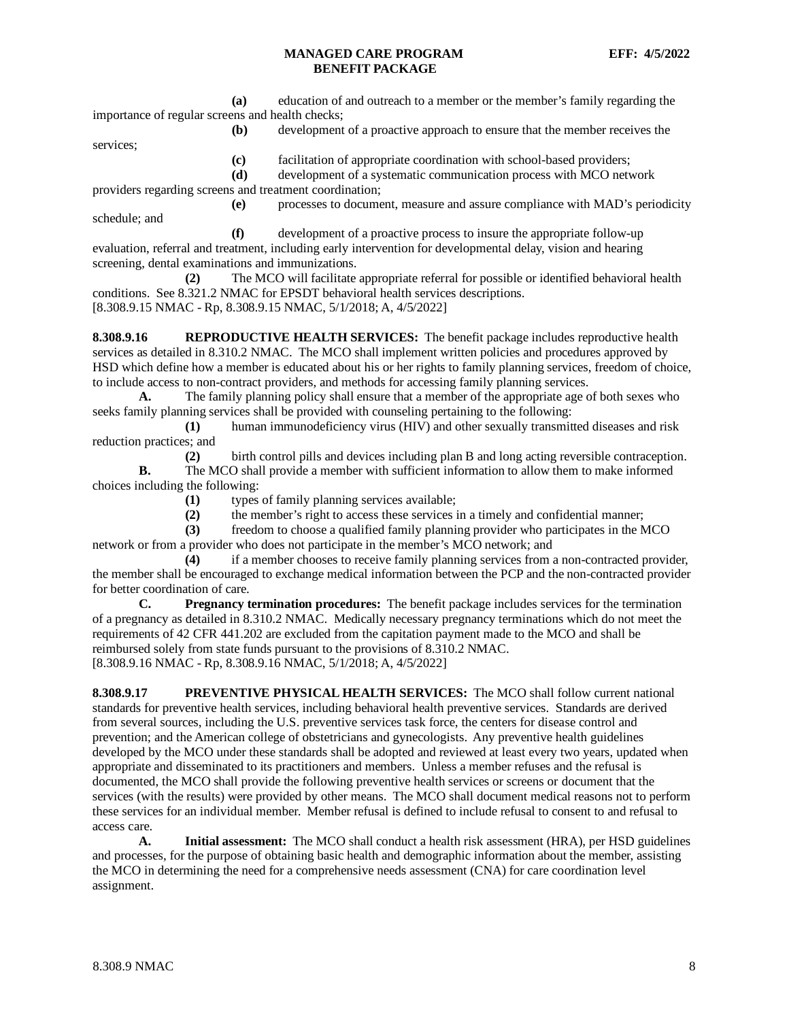**(a)** education of and outreach to a member or the member's family regarding the importance of regular screens and health checks;

**(b)** development of a proactive approach to ensure that the member receives the

services;

- **(c)** facilitation of appropriate coordination with school-based providers;
- **(d)** development of a systematic communication process with MCO network

providers regarding screens and treatment coordination;

**(e)** processes to document, measure and assure compliance with MAD's periodicity schedule; and

**(f)** development of a proactive process to insure the appropriate follow-up evaluation, referral and treatment, including early intervention for developmental delay, vision and hearing screening, dental examinations and immunizations.

**(2)** The MCO will facilitate appropriate referral for possible or identified behavioral health conditions. See 8.321.2 NMAC for EPSDT behavioral health services descriptions. [8.308.9.15 NMAC - Rp, 8.308.9.15 NMAC, 5/1/2018; A, 4/5/2022]

<span id="page-8-0"></span>**8.308.9.16 REPRODUCTIVE HEALTH SERVICES:** The benefit package includes reproductive health services as detailed in 8.310.2 NMAC. The MCO shall implement written policies and procedures approved by HSD which define how a member is educated about his or her rights to family planning services, freedom of choice, to include access to non-contract providers, and methods for accessing family planning services.

**A.** The family planning policy shall ensure that a member of the appropriate age of both sexes who seeks family planning services shall be provided with counseling pertaining to the following:

**(1)** human immunodeficiency virus (HIV) and other sexually transmitted diseases and risk reduction practices; and

**(2)** birth control pills and devices including plan B and long acting reversible contraception. **B.** The MCO shall provide a member with sufficient information to allow them to make informed choices including the following:

**(1)** types of family planning services available;

**(2)** the member's right to access these services in a timely and confidential manner;

**(3)** freedom to choose a qualified family planning provider who participates in the MCO network or from a provider who does not participate in the member's MCO network; and

**(4)** if a member chooses to receive family planning services from a non-contracted provider, the member shall be encouraged to exchange medical information between the PCP and the non-contracted provider for better coordination of care.<br> **C.** Pregnancy to

**Pregnancy termination procedures:** The benefit package includes services for the termination of a pregnancy as detailed in 8.310.2 NMAC. Medically necessary pregnancy terminations which do not meet the requirements of 42 CFR 441.202 are excluded from the capitation payment made to the MCO and shall be reimbursed solely from state funds pursuant to the provisions of 8.310.2 NMAC. [8.308.9.16 NMAC - Rp, 8.308.9.16 NMAC, 5/1/2018; A, 4/5/2022]

<span id="page-8-1"></span>**8.308.9.17 PREVENTIVE PHYSICAL HEALTH SERVICES:** The MCO shall follow current national standards for preventive health services, including behavioral health preventive services. Standards are derived from several sources, including the U.S. preventive services task force, the centers for disease control and prevention; and the American college of obstetricians and gynecologists. Any preventive health guidelines developed by the MCO under these standards shall be adopted and reviewed at least every two years, updated when appropriate and disseminated to its practitioners and members. Unless a member refuses and the refusal is documented, the MCO shall provide the following preventive health services or screens or document that the services (with the results) were provided by other means. The MCO shall document medical reasons not to perform these services for an individual member. Member refusal is defined to include refusal to consent to and refusal to access care.

**A. Initial assessment:** The MCO shall conduct a health risk assessment (HRA), per HSD guidelines and processes, for the purpose of obtaining basic health and demographic information about the member, assisting the MCO in determining the need for a comprehensive needs assessment (CNA) for care coordination level assignment.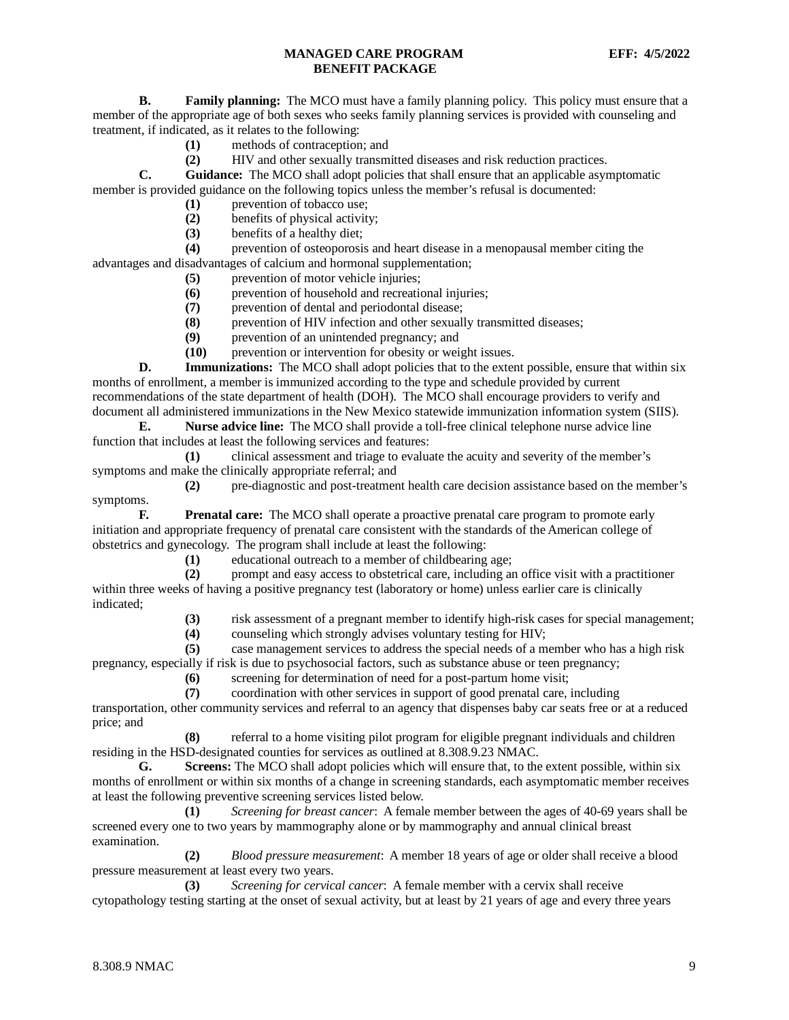**B. Family planning:** The MCO must have a family planning policy. This policy must ensure that a member of the appropriate age of both sexes who seeks family planning services is provided with counseling and treatment, if indicated, as it relates to the following:

- **(1)** methods of contraception; and
- **(2)** HIV and other sexually transmitted diseases and risk reduction practices.

**C. Guidance:** The MCO shall adopt policies that shall ensure that an applicable asymptomatic member is provided guidance on the following topics unless the member's refusal is documented:

- (1) prevention of tobacco use;<br>(2) benefits of physical activity
- (2) benefits of physical activity;<br>(3) benefits of a healthy diet;
- **(3)** benefits of a healthy diet;

**(4)** prevention of osteoporosis and heart disease in a menopausal member citing the advantages and disadvantages of calcium and hormonal supplementation;

- **(5)** prevention of motor vehicle injuries;
- **(6)** prevention of household and recreational injuries;
- **(7)** prevention of dental and periodontal disease;
- **(8)** prevention of HIV infection and other sexually transmitted diseases;
- **(9)** prevention of an unintended pregnancy; and
- **(10)** prevention or intervention for obesity or weight issues.

**D. Immunizations:** The MCO shall adopt policies that to the extent possible, ensure that within six months of enrollment, a member is immunized according to the type and schedule provided by current recommendations of the state department of health (DOH). The MCO shall encourage providers to verify and document all administered immunizations in the New Mexico statewide immunization information system (SIIS).

**E. Nurse advice line:** The MCO shall provide a toll-free clinical telephone nurse advice line function that includes at least the following services and features:

**(1)** clinical assessment and triage to evaluate the acuity and severity of the member's symptoms and make the clinically appropriate referral; and

**(2)** pre-diagnostic and post-treatment health care decision assistance based on the member's symptoms.

**F. Prenatal care:** The MCO shall operate a proactive prenatal care program to promote early initiation and appropriate frequency of prenatal care consistent with the standards of the American college of obstetrics and gynecology. The program shall include at least the following:

**(1)** educational outreach to a member of childbearing age;

**(2)** prompt and easy access to obstetrical care, including an office visit with a practitioner within three weeks of having a positive pregnancy test (laboratory or home) unless earlier care is clinically indicated;

**(3)** risk assessment of a pregnant member to identify high-risk cases for special management;

**(4)** counseling which strongly advises voluntary testing for HIV;

**(5)** case management services to address the special needs of a member who has a high risk pregnancy, especially if risk is due to psychosocial factors, such as substance abuse or teen pregnancy;

**(6)** screening for determination of need for a post-partum home visit;

**(7)** coordination with other services in support of good prenatal care, including

transportation, other community services and referral to an agency that dispenses baby car seats free or at a reduced price; and

**(8)** referral to a home visiting pilot program for eligible pregnant individuals and children residing in the HSD-designated counties for services as outlined at 8.308.9.23 NMAC.

**G. Screens:** The MCO shall adopt policies which will ensure that, to the extent possible, within six months of enrollment or within six months of a change in screening standards, each asymptomatic member receives at least the following preventive screening services listed below.

**(1)** *Screening for breast cancer*: A female member between the ages of 40-69 years shall be screened every one to two years by mammography alone or by mammography and annual clinical breast examination.

**(2)** *Blood pressure measurement*: A member 18 years of age or older shall receive a blood pressure measurement at least every two years.

**(3)** *Screening for cervical cancer*: A female member with a cervix shall receive cytopathology testing starting at the onset of sexual activity, but at least by 21 years of age and every three years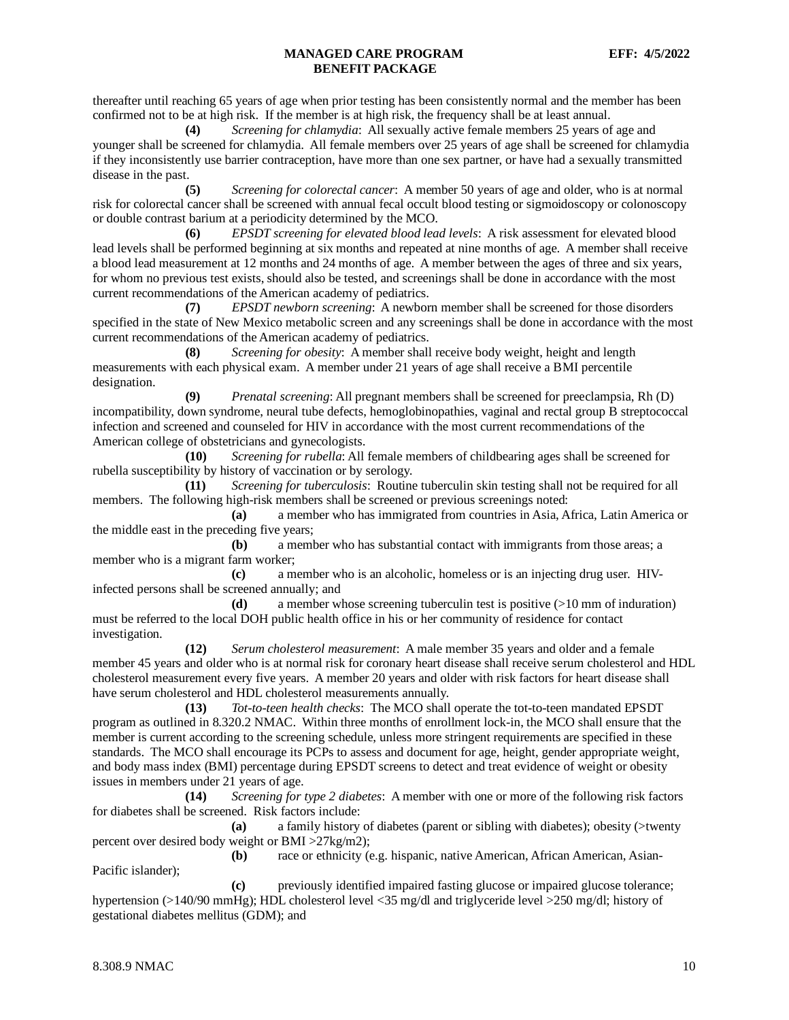thereafter until reaching 65 years of age when prior testing has been consistently normal and the member has been confirmed not to be at high risk. If the member is at high risk, the frequency shall be at least annual.

**(4)** *Screening for chlamydia*: All sexually active female members 25 years of age and younger shall be screened for chlamydia. All female members over 25 years of age shall be screened for chlamydia if they inconsistently use barrier contraception, have more than one sex partner, or have had a sexually transmitted disease in the past.

**(5)** *Screening for colorectal cancer*: A member 50 years of age and older, who is at normal risk for colorectal cancer shall be screened with annual fecal occult blood testing or sigmoidoscopy or colonoscopy or double contrast barium at a periodicity determined by the MCO.

**(6)** *EPSDT screening for elevated blood lead levels*: A risk assessment for elevated blood lead levels shall be performed beginning at six months and repeated at nine months of age. A member shall receive a blood lead measurement at 12 months and 24 months of age. A member between the ages of three and six years, for whom no previous test exists, should also be tested, and screenings shall be done in accordance with the most current recommendations of the American academy of pediatrics.

**(7)** *EPSDT newborn screening*: A newborn member shall be screened for those disorders specified in the state of New Mexico metabolic screen and any screenings shall be done in accordance with the most current recommendations of the American academy of pediatrics.

**(8)** *Screening for obesity*: A member shall receive body weight, height and length measurements with each physical exam. A member under 21 years of age shall receive a BMI percentile designation.

**(9)** *Prenatal screening*: All pregnant members shall be screened for preeclampsia, Rh (D) incompatibility, down syndrome, neural tube defects, hemoglobinopathies, vaginal and rectal group B streptococcal infection and screened and counseled for HIV in accordance with the most current recommendations of the American college of obstetricians and gynecologists.

**(10)** *Screening for rubella*: All female members of childbearing ages shall be screened for rubella susceptibility by history of vaccination or by serology.

**(11)** *Screening for tuberculosis*: Routine tuberculin skin testing shall not be required for all members. The following high-risk members shall be screened or previous screenings noted:

**(a)** a member who has immigrated from countries in Asia, Africa, Latin America or the middle east in the preceding five years;

**(b)** a member who has substantial contact with immigrants from those areas; a member who is a migrant farm worker;

**(c)** a member who is an alcoholic, homeless or is an injecting drug user. HIVinfected persons shall be screened annually; and

**(d)** a member whose screening tuberculin test is positive (>10 mm of induration) must be referred to the local DOH public health office in his or her community of residence for contact investigation.

**(12)** *Serum cholesterol measurement*: A male member 35 years and older and a female member 45 years and older who is at normal risk for coronary heart disease shall receive serum cholesterol and HDL cholesterol measurement every five years. A member 20 years and older with risk factors for heart disease shall have serum cholesterol and HDL cholesterol measurements annually.

**(13)** *Tot-to-teen health checks*: The MCO shall operate the tot-to-teen mandated EPSDT program as outlined in 8.320.2 NMAC. Within three months of enrollment lock-in, the MCO shall ensure that the member is current according to the screening schedule, unless more stringent requirements are specified in these standards. The MCO shall encourage its PCPs to assess and document for age, height, gender appropriate weight, and body mass index (BMI) percentage during EPSDT screens to detect and treat evidence of weight or obesity issues in members under 21 years of age.

**(14)** *Screening for type 2 diabetes*: A member with one or more of the following risk factors for diabetes shall be screened. Risk factors include:

**(a)** a family history of diabetes (parent or sibling with diabetes); obesity (>twenty percent over desired body weight or BMI >27kg/m2);

**(b)** race or ethnicity (e.g. hispanic, native American, African American, Asian-Pacific islander);

**(c)** previously identified impaired fasting glucose or impaired glucose tolerance; hypertension (>140/90 mmHg); HDL cholesterol level <35 mg/dl and triglyceride level >250 mg/dl; history of gestational diabetes mellitus (GDM); and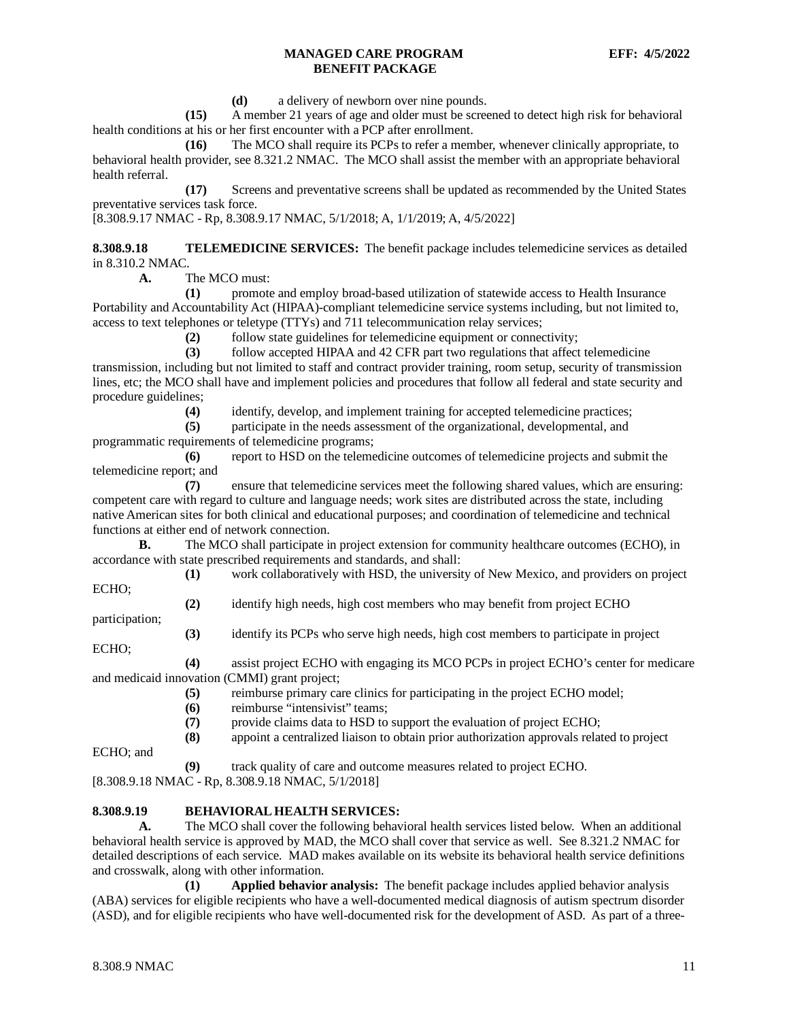**(d)** a delivery of newborn over nine pounds.

**(15)** A member 21 years of age and older must be screened to detect high risk for behavioral health conditions at his or her first encounter with a PCP after enrollment.

**(16)** The MCO shall require its PCPs to refer a member, whenever clinically appropriate, to behavioral health provider, see 8.321.2 NMAC. The MCO shall assist the member with an appropriate behavioral health referral.

**(17)** Screens and preventative screens shall be updated as recommended by the United States preventative services task force.

[8.308.9.17 NMAC - Rp, 8.308.9.17 NMAC, 5/1/2018; A, 1/1/2019; A, 4/5/2022]

<span id="page-11-0"></span>**8.308.9.18 TELEMEDICINE SERVICES:** The benefit package includes telemedicine services as detailed in 8.310.2 NMAC*.*

**A.** The MCO must:

**(1)** promote and employ broad-based utilization of statewide access to Health Insurance Portability and Accountability Act (HIPAA)-compliant telemedicine service systems including, but not limited to, access to text telephones or teletype (TTYs) and 711 telecommunication relay services;

**(2)** follow state guidelines for telemedicine equipment or connectivity;

**(3)** follow accepted HIPAA and 42 CFR part two regulations that affect telemedicine transmission, including but not limited to staff and contract provider training, room setup, security of transmission lines, etc; the MCO shall have and implement policies and procedures that follow all federal and state security and procedure guidelines;

**(4)** identify, develop, and implement training for accepted telemedicine practices;

**(5)** participate in the needs assessment of the organizational, developmental, and

programmatic requirements of telemedicine programs;

**(6)** report to HSD on the telemedicine outcomes of telemedicine projects and submit the telemedicine report; and

**(7)** ensure that telemedicine services meet the following shared values, which are ensuring: competent care with regard to culture and language needs; work sites are distributed across the state, including native American sites for both clinical and educational purposes; and coordination of telemedicine and technical functions at either end of network connection.

**B.** The MCO shall participate in project extension for community healthcare outcomes (ECHO), in accordance with state prescribed requirements and standards, and shall:

**(1)** work collaboratively with HSD, the university of New Mexico, and providers on project ECHO;

**(2)** identify high needs, high cost members who may benefit from project ECHO

**(3)** identify its PCPs who serve high needs, high cost members to participate in project

ECHO;

participation;

**(4)** assist project ECHO with engaging its MCO PCPs in project ECHO's center for medicare and medicaid innovation (CMMI) grant project;

**(5)** reimburse primary care clinics for participating in the project ECHO model;

**(6)** reimburse "intensivist" teams;<br>**(7)** provide claims data to HSD to

**(7)** provide claims data to HSD to support the evaluation of project ECHO;

**(8)** appoint a centralized liaison to obtain prior authorization approvals related to project

ECHO; and

**(9)** track quality of care and outcome measures related to project ECHO.

[8.308.9.18 NMAC - Rp, 8.308.9.18 NMAC, 5/1/2018]

### <span id="page-11-1"></span>**8.308.9.19 BEHAVIORAL HEALTH SERVICES:**

**A.** The MCO shall cover the following behavioral health services listed below. When an additional behavioral health service is approved by MAD, the MCO shall cover that service as well. See 8.321.2 NMAC for detailed descriptions of each service. MAD makes available on its website its behavioral health service definitions and crosswalk, along with other information.

**(1) Applied behavior analysis:** The benefit package includes applied behavior analysis (ABA) services for eligible recipients who have a well-documented medical diagnosis of autism spectrum disorder (ASD), and for eligible recipients who have well-documented risk for the development of ASD. As part of a three-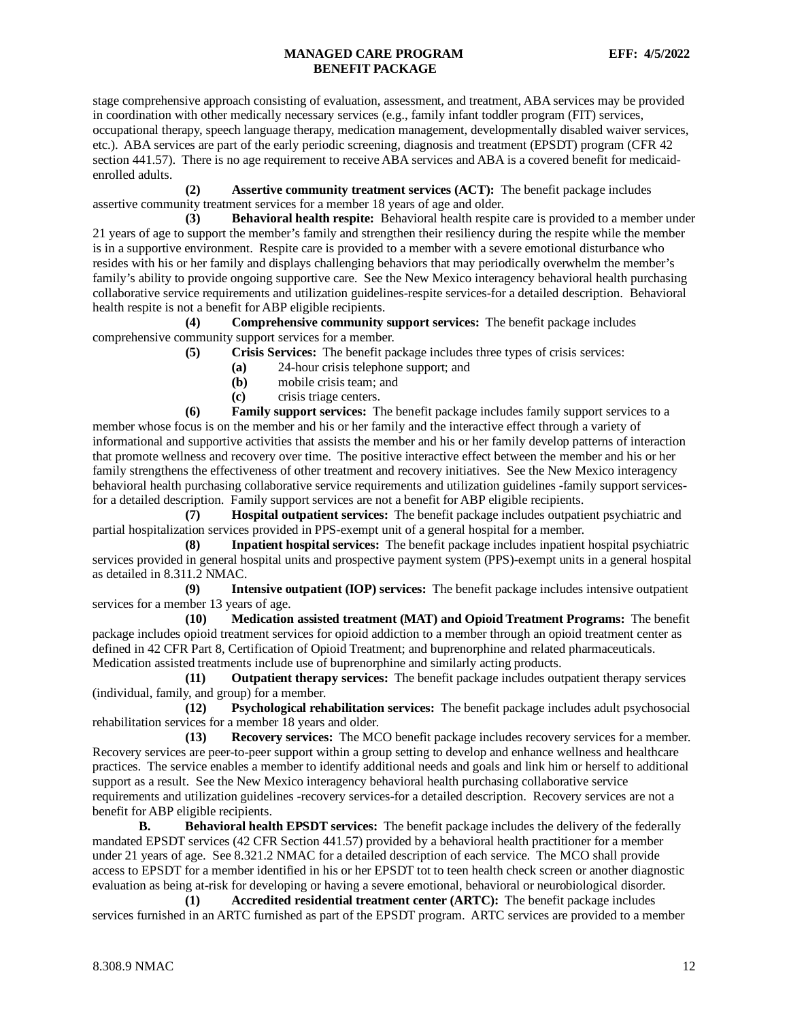stage comprehensive approach consisting of evaluation, assessment, and treatment, ABA services may be provided in coordination with other medically necessary services (e.g., family infant toddler program (FIT) services, occupational therapy, speech language therapy, medication management, developmentally disabled waiver services, etc.). ABA services are part of the early periodic screening, diagnosis and treatment (EPSDT) program (CFR 42 section 441.57). There is no age requirement to receive ABA services and ABA is a covered benefit for medicaidenrolled adults.

**(2) Assertive community treatment services (ACT):** The benefit package includes assertive community treatment services for a member 18 years of age and older.

**(3) Behavioral health respite:** Behavioral health respite care is provided to a member under 21 years of age to support the member's family and strengthen their resiliency during the respite while the member is in a supportive environment. Respite care is provided to a member with a severe emotional disturbance who resides with his or her family and displays challenging behaviors that may periodically overwhelm the member's family's ability to provide ongoing supportive care. See the New Mexico interagency behavioral health purchasing collaborative service requirements and utilization guidelines-respite services-for a detailed description. Behavioral health respite is not a benefit for ABP eligible recipients.

**(4) Comprehensive community support services:** The benefit package includes comprehensive community support services for a member.

**(5) Crisis Services:** The benefit package includes three types of crisis services:

- **(a)** 24-hour crisis telephone support; and
- **(b)** mobile crisis team; and
- **(c)** crisis triage centers.

**(6) Family support services:** The benefit package includes family support services to a member whose focus is on the member and his or her family and the interactive effect through a variety of informational and supportive activities that assists the member and his or her family develop patterns of interaction that promote wellness and recovery over time. The positive interactive effect between the member and his or her family strengthens the effectiveness of other treatment and recovery initiatives. See the New Mexico interagency behavioral health purchasing collaborative service requirements and utilization guidelines -family support servicesfor a detailed description. Family support services are not a benefit for ABP eligible recipients.

**(7) Hospital outpatient services:** The benefit package includes outpatient psychiatric and partial hospitalization services provided in PPS-exempt unit of a general hospital for a member.

**(8) Inpatient hospital services:** The benefit package includes inpatient hospital psychiatric services provided in general hospital units and prospective payment system (PPS)-exempt units in a general hospital as detailed in 8.311.2 NMAC.

**(9) Intensive outpatient (IOP) services:** The benefit package includes intensive outpatient services for a member 13 years of age.

**(10) Medication assisted treatment (MAT) and Opioid Treatment Programs:** The benefit package includes opioid treatment services for opioid addiction to a member through an opioid treatment center as defined in 42 CFR Part 8, Certification of Opioid Treatment; and buprenorphine and related pharmaceuticals. Medication assisted treatments include use of buprenorphine and similarly acting products.

**(11) Outpatient therapy services:** The benefit package includes outpatient therapy services (individual, family, and group) for a member.

**(12) Psychological rehabilitation services:** The benefit package includes adult psychosocial rehabilitation services for a member 18 years and older.

**(13) Recovery services:** The MCO benefit package includes recovery services for a member. Recovery services are peer-to-peer support within a group setting to develop and enhance wellness and healthcare practices. The service enables a member to identify additional needs and goals and link him or herself to additional support as a result. See the New Mexico interagency behavioral health purchasing collaborative service requirements and utilization guidelines -recovery services-for a detailed description. Recovery services are not a benefit for ABP eligible recipients.

**B. Behavioral health EPSDT services:** The benefit package includes the delivery of the federally mandated EPSDT services (42 CFR Section 441.57) provided by a behavioral health practitioner for a member under 21 years of age. See 8.321.2 NMAC for a detailed description of each service. The MCO shall provide access to EPSDT for a member identified in his or her EPSDT tot to teen health check screen or another diagnostic evaluation as being at-risk for developing or having a severe emotional, behavioral or neurobiological disorder.

**(1) Accredited residential treatment center (ARTC):** The benefit package includes services furnished in an ARTC furnished as part of the EPSDT program. ARTC services are provided to a member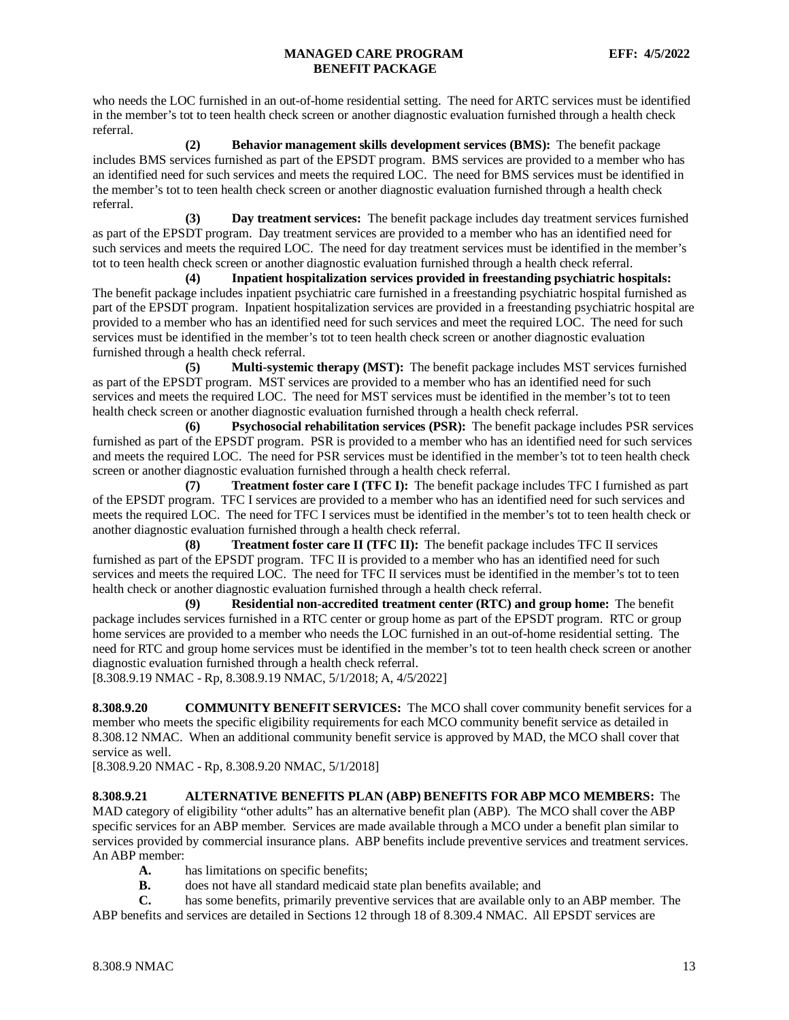who needs the LOC furnished in an out-of-home residential setting. The need for ARTC services must be identified in the member's tot to teen health check screen or another diagnostic evaluation furnished through a health check referral.

**(2) Behavior management skills development services (BMS):** The benefit package includes BMS services furnished as part of the EPSDT program. BMS services are provided to a member who has an identified need for such services and meets the required LOC. The need for BMS services must be identified in the member's tot to teen health check screen or another diagnostic evaluation furnished through a health check referral.

**(3) Day treatment services:** The benefit package includes day treatment services furnished as part of the EPSDT program. Day treatment services are provided to a member who has an identified need for such services and meets the required LOC. The need for day treatment services must be identified in the member's tot to teen health check screen or another diagnostic evaluation furnished through a health check referral.

**(4) Inpatient hospitalization services provided in freestanding psychiatric hospitals:** The benefit package includes inpatient psychiatric care furnished in a freestanding psychiatric hospital furnished as part of the EPSDT program. Inpatient hospitalization services are provided in a freestanding psychiatric hospital are provided to a member who has an identified need for such services and meet the required LOC. The need for such services must be identified in the member's tot to teen health check screen or another diagnostic evaluation furnished through a health check referral.

**(5) Multi-systemic therapy (MST):** The benefit package includes MST services furnished as part of the EPSDT program. MST services are provided to a member who has an identified need for such services and meets the required LOC. The need for MST services must be identified in the member's tot to teen health check screen or another diagnostic evaluation furnished through a health check referral.

**(6) Psychosocial rehabilitation services (PSR):** The benefit package includes PSR services furnished as part of the EPSDT program. PSR is provided to a member who has an identified need for such services and meets the required LOC. The need for PSR services must be identified in the member's tot to teen health check screen or another diagnostic evaluation furnished through a health check referral.

**(7) Treatment foster care I (TFC I):** The benefit package includes TFC I furnished as part of the EPSDT program. TFC I services are provided to a member who has an identified need for such services and meets the required LOC. The need for TFC I services must be identified in the member's tot to teen health check or another diagnostic evaluation furnished through a health check referral.

**(8) Treatment foster care II (TFC II):** The benefit package includes TFC II services furnished as part of the EPSDT program. TFC II is provided to a member who has an identified need for such services and meets the required LOC. The need for TFC II services must be identified in the member's tot to teen health check or another diagnostic evaluation furnished through a health check referral.

**(9) Residential non-accredited treatment center (RTC) and group home:** The benefit package includes services furnished in a RTC center or group home as part of the EPSDT program. RTC or group home services are provided to a member who needs the LOC furnished in an out-of-home residential setting. The need for RTC and group home services must be identified in the member's tot to teen health check screen or another diagnostic evaluation furnished through a health check referral.

[8.308.9.19 NMAC - Rp, 8.308.9.19 NMAC, 5/1/2018; A, 4/5/2022]

<span id="page-13-0"></span>**8.308.9.20 COMMUNITY BENEFIT SERVICES:** The MCO shall cover community benefit services for a member who meets the specific eligibility requirements for each MCO community benefit service as detailed in 8.308.12 NMAC. When an additional community benefit service is approved by MAD, the MCO shall cover that service as well.

[8.308.9.20 NMAC - Rp, 8.308.9.20 NMAC, 5/1/2018]

## <span id="page-13-1"></span>**8.308.9.21 ALTERNATIVE BENEFITS PLAN (ABP) BENEFITS FOR ABP MCO MEMBERS:** The

MAD category of eligibility "other adults" has an alternative benefit plan (ABP). The MCO shall cover the ABP specific services for an ABP member. Services are made available through a MCO under a benefit plan similar to services provided by commercial insurance plans. ABP benefits include preventive services and treatment services. An ABP member:

- **A.** has limitations on specific benefits;<br>**B.** does not have all standard medicaid
- **B.** does not have all standard medicaid state plan benefits available; and

**C.** has some benefits, primarily preventive services that are available only to an ABP member. The ABP benefits and services are detailed in Sections 12 through 18 of 8.309.4 NMAC. All EPSDT services are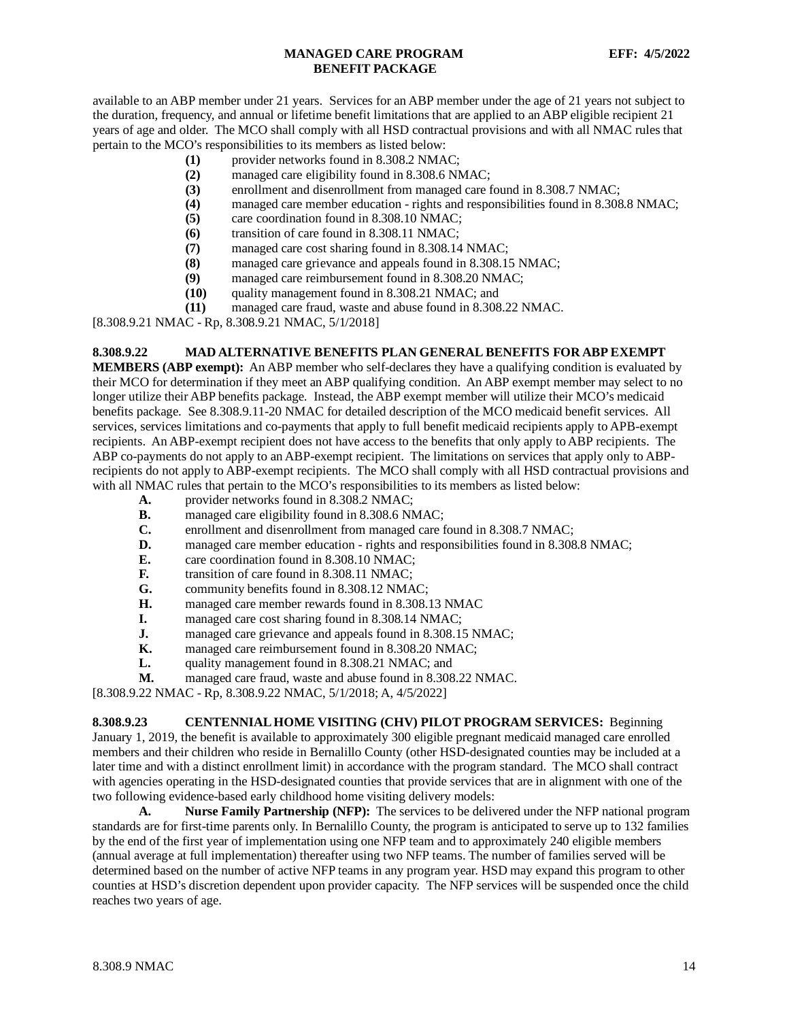available to an ABP member under 21 years. Services for an ABP member under the age of 21 years not subject to the duration, frequency, and annual or lifetime benefit limitations that are applied to an ABP eligible recipient 21 years of age and older. The MCO shall comply with all HSD contractual provisions and with all NMAC rules that pertain to the MCO's responsibilities to its members as listed below:

- **(1)** provider networks found in 8.308.2 NMAC;
- **(2)** managed care eligibility found in 8.308.6 NMAC;
- **(3)** enrollment and disenrollment from managed care found in 8.308.7 NMAC;
- **(4)** managed care member education rights and responsibilities found in 8.308.8 NMAC;
- **(5)** care coordination found in 8.308.10 NMAC;
- **(6)** transition of care found in 8.308.11 NMAC;
- **(7)** managed care cost sharing found in 8.308.14 NMAC;
- **(8)** managed care grievance and appeals found in 8.308.15 NMAC;
- managed care reimbursement found in 8.308.20 NMAC;
- **(10)** quality management found in 8.308.21 NMAC; and
- **(11)** managed care fraud, waste and abuse found in 8.308.22 NMAC.

[8.308.9.21 NMAC - Rp, 8.308.9.21 NMAC, 5/1/2018]

#### <span id="page-14-0"></span>**8.308.9.22 MAD ALTERNATIVE BENEFITS PLAN GENERAL BENEFITS FOR ABP EXEMPT**

**MEMBERS (ABP exempt):** An ABP member who self-declares they have a qualifying condition is evaluated by their MCO for determination if they meet an ABP qualifying condition. An ABP exempt member may select to no longer utilize their ABP benefits package. Instead, the ABP exempt member will utilize their MCO's medicaid benefits package. See 8.308.9.11-20 NMAC for detailed description of the MCO medicaid benefit services. All services, services limitations and co-payments that apply to full benefit medicaid recipients apply to APB-exempt recipients. An ABP-exempt recipient does not have access to the benefits that only apply to ABP recipients. The ABP co-payments do not apply to an ABP-exempt recipient. The limitations on services that apply only to ABPrecipients do not apply to ABP-exempt recipients. The MCO shall comply with all HSD contractual provisions and with all NMAC rules that pertain to the MCO's responsibilities to its members as listed below:

- **A.** provider networks found in 8.308.2 NMAC;
- **B.** managed care eligibility found in 8.308.6 NMAC;<br>**C.** enrollment and disenrollment from managed care f
- **C.** enrollment and disenrollment from managed care found in 8.308.7 NMAC;<br>**D.** managed care member education rights and responsibilities found in 8.308
- managed care member education rights and responsibilities found in 8.308.8 NMAC;
- **E.** care coordination found in 8.308.10 NMAC;
- **F.** transition of care found in 8.308.11 NMAC;<br>**G.** community benefits found in 8.308.12 NMA
- community benefits found in 8.308.12 NMAC;
- **H.** managed care member rewards found in 8.308.13 NMAC
- **I.** managed care cost sharing found in 8.308.14 NMAC;
- **J.** managed care grievance and appeals found in 8.308.15 NMAC;
- **K.** managed care reimbursement found in 8.308.20 NMAC;
- **L.** quality management found in 8.308.21 NMAC; and
- **M.** managed care fraud, waste and abuse found in 8.308.22 NMAC.

[8.308.9.22 NMAC - Rp, 8.308.9.22 NMAC, 5/1/2018; A, 4/5/2022]

### <span id="page-14-1"></span>**8.308.9.23 CENTENNIAL HOME VISITING (CHV) PILOT PROGRAM SERVICES:** Beginning

January 1, 2019, the benefit is available to approximately 300 eligible pregnant medicaid managed care enrolled members and their children who reside in Bernalillo County (other HSD-designated counties may be included at a later time and with a distinct enrollment limit) in accordance with the program standard. The MCO shall contract with agencies operating in the HSD-designated counties that provide services that are in alignment with one of the two following evidence-based early childhood home visiting delivery models:

**A. Nurse Family Partnership (NFP):** The services to be delivered under the NFP national program standards are for first-time parents only. In Bernalillo County, the program is anticipated to serve up to 132 families by the end of the first year of implementation using one NFP team and to approximately 240 eligible members (annual average at full implementation) thereafter using two NFP teams. The number of families served will be determined based on the number of active NFP teams in any program year. HSD may expand this program to other counties at HSD's discretion dependent upon provider capacity. The NFP services will be suspended once the child reaches two years of age.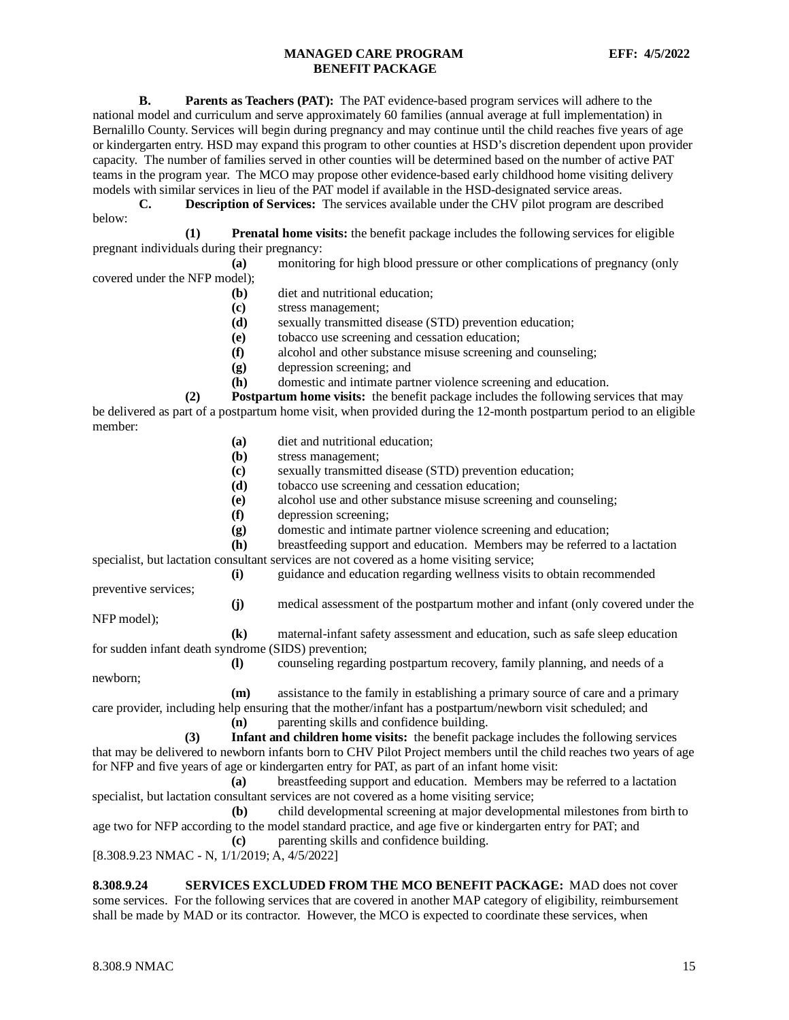**B. Parents as Teachers (PAT):** The PAT evidence-based program services will adhere to the national model and curriculum and serve approximately 60 families (annual average at full implementation) in Bernalillo County. Services will begin during pregnancy and may continue until the child reaches five years of age or kindergarten entry. HSD may expand this program to other counties at HSD's discretion dependent upon provider capacity. The number of families served in other counties will be determined based on the number of active PAT teams in the program year. The MCO may propose other evidence-based early childhood home visiting delivery models with similar services in lieu of the PAT model if available in the HSD-designated service areas.

**C. Description of Services:** The services available under the CHV pilot program are described below:

**(1) Prenatal home visits:** the benefit package includes the following services for eligible pregnant individuals during their pregnancy:

**(a)** monitoring for high blood pressure or other complications of pregnancy (only covered under the NFP model);

- **(b)** diet and nutritional education;
- **(c)** stress management;
- **(d)** sexually transmitted disease (STD) prevention education;
- **(e)** tobacco use screening and cessation education;
- **(f)** alcohol and other substance misuse screening and counseling;
- **(g)** depression screening; and
- **(h)** domestic and intimate partner violence screening and education.

**(2) Postpartum home visits:** the benefit package includes the following services that may be delivered as part of a postpartum home visit, when provided during the 12-month postpartum period to an eligible member:

- **(a)** diet and nutritional education;
- **(b)** stress management;
- **(c)** sexually transmitted disease (STD) prevention education;
- **(d)** tobacco use screening and cessation education;
- **(e)** alcohol use and other substance misuse screening and counseling;
- **(f)** depression screening;
- **(g)** domestic and intimate partner violence screening and education;

**(h)** breastfeeding support and education. Members may be referred to a lactation specialist, but lactation consultant services are not covered as a home visiting service;

**(i)** guidance and education regarding wellness visits to obtain recommended

preventive services;

**(j)** medical assessment of the postpartum mother and infant (only covered under the

NFP model);

**(k)** maternal-infant safety assessment and education, such as safe sleep education for sudden infant death syndrome (SIDS) prevention;

**(l)** counseling regarding postpartum recovery, family planning, and needs of a

newborn;

**(m)** assistance to the family in establishing a primary source of care and a primary

care provider, including help ensuring that the mother/infant has a postpartum/newborn visit scheduled; and **(n)** parenting skills and confidence building.

**(3) Infant and children home visits:** the benefit package includes the following services that may be delivered to newborn infants born to CHV Pilot Project members until the child reaches two years of age for NFP and five years of age or kindergarten entry for PAT, as part of an infant home visit:

**(a)** breastfeeding support and education. Members may be referred to a lactation specialist, but lactation consultant services are not covered as a home visiting service;

**(b)** child developmental screening at major developmental milestones from birth to age two for NFP according to the model standard practice, and age five or kindergarten entry for PAT; and **(c)** parenting skills and confidence building.

[8.308.9.23 NMAC - N, 1/1/2019; A, 4/5/2022]

<span id="page-15-0"></span>**8.308.9.24 SERVICES EXCLUDED FROM THE MCO BENEFIT PACKAGE:** MAD does not cover some services. For the following services that are covered in another MAP category of eligibility, reimbursement shall be made by MAD or its contractor. However, the MCO is expected to coordinate these services, when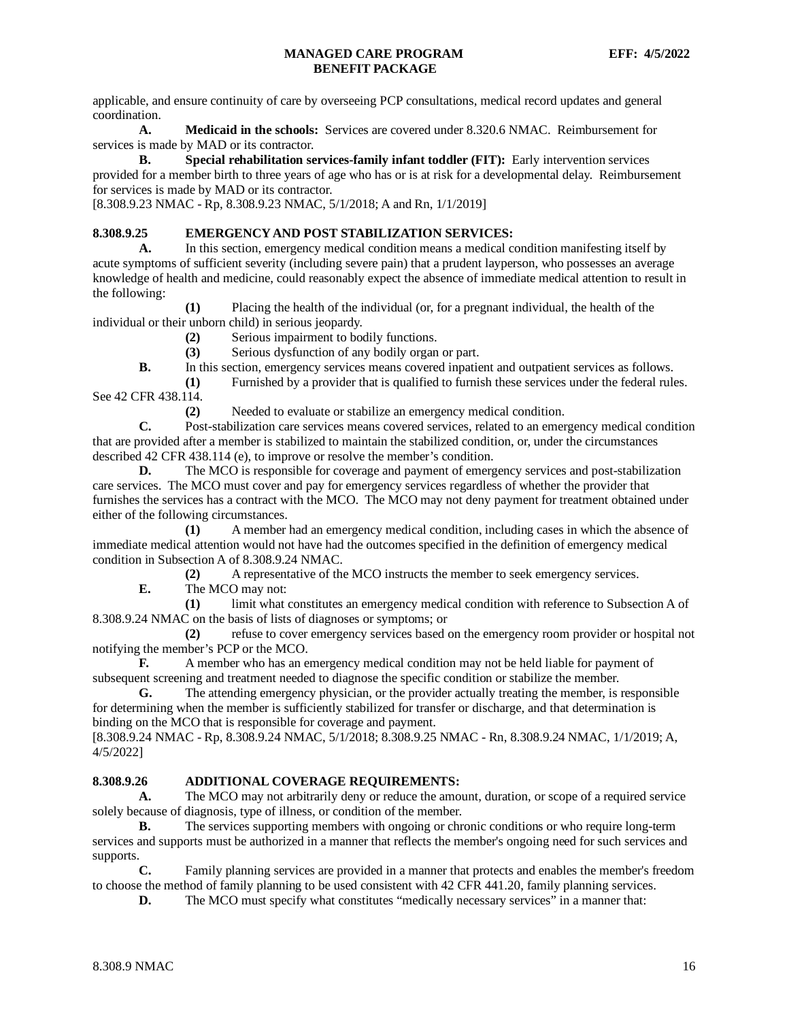applicable, and ensure continuity of care by overseeing PCP consultations, medical record updates and general coordination.

**A. Medicaid in the schools:** Services are covered under 8.320.6 NMAC. Reimbursement for services is made by MAD or its contractor.

**B. Special rehabilitation services-family infant toddler (FIT):** Early intervention services provided for a member birth to three years of age who has or is at risk for a developmental delay. Reimbursement for services is made by MAD or its contractor.

[8.308.9.23 NMAC - Rp, 8.308.9.23 NMAC, 5/1/2018; A and Rn, 1/1/2019]

# <span id="page-16-0"></span>**8.308.9.25 EMERGENCY AND POST STABILIZATION SERVICES:**

**A.** In this section, emergency medical condition means a medical condition manifesting itself by acute symptoms of sufficient severity (including severe pain) that a prudent layperson, who possesses an average knowledge of health and medicine, could reasonably expect the absence of immediate medical attention to result in the following:

**(1)** Placing the health of the individual (or, for a pregnant individual, the health of the individual or their unborn child) in serious jeopardy.

**(2)** Serious impairment to bodily functions.

**(3)** Serious dysfunction of any bodily organ or part.

**B.** In this section, emergency services means covered inpatient and outpatient services as follows.

**(1)** Furnished by a provider that is qualified to furnish these services under the federal rules. See 42 CFR 438.114.

**(2)** Needed to evaluate or stabilize an emergency medical condition.

**C.** Post-stabilization care services means covered services, related to an emergency medical condition that are provided after a member is stabilized to maintain the stabilized condition, or, under the circumstances described 42 CFR 438.114 (e), to improve or resolve the member's condition.

**D.** The MCO is responsible for coverage and payment of emergency services and post-stabilization care services. The MCO must cover and pay for emergency services regardless of whether the provider that furnishes the services has a contract with the MCO. The MCO may not deny payment for treatment obtained under either of the following circumstances.

**(1)** A member had an emergency medical condition, including cases in which the absence of immediate medical attention would not have had the outcomes specified in the definition of emergency medical condition in Subsection A of 8.308.9.24 NMAC.

**(2)** A representative of the MCO instructs the member to seek emergency services.

**E.** The MCO may not:

**(1)** limit what constitutes an emergency medical condition with reference to Subsection A of 8.308.9.24 NMAC on the basis of lists of diagnoses or symptoms; or

**(2)** refuse to cover emergency services based on the emergency room provider or hospital not notifying the member's PCP or the MCO.

**F.** A member who has an emergency medical condition may not be held liable for payment of subsequent screening and treatment needed to diagnose the specific condition or stabilize the member.

**G.** The attending emergency physician, or the provider actually treating the member, is responsible for determining when the member is sufficiently stabilized for transfer or discharge, and that determination is binding on the MCO that is responsible for coverage and payment.

[8.308.9.24 NMAC - Rp, 8.308.9.24 NMAC, 5/1/2018; 8.308.9.25 NMAC - Rn, 8.308.9.24 NMAC, 1/1/2019; A, 4/5/2022]

### <span id="page-16-1"></span>**8.308.9.26 ADDITIONAL COVERAGE REQUIREMENTS:**

**A.** The MCO may not arbitrarily deny or reduce the amount, duration, or scope of a required service solely because of diagnosis, type of illness, or condition of the member.

**B.** The services supporting members with ongoing or chronic conditions or who require long-term services and supports must be authorized in a manner that reflects the member's ongoing need for such services and supports.

**C.** Family planning services are provided in a manner that protects and enables the member's freedom to choose the method of family planning to be used consistent with 42 CFR 441.20, family planning services.

**D.** The MCO must specify what constitutes "medically necessary services" in a manner that: